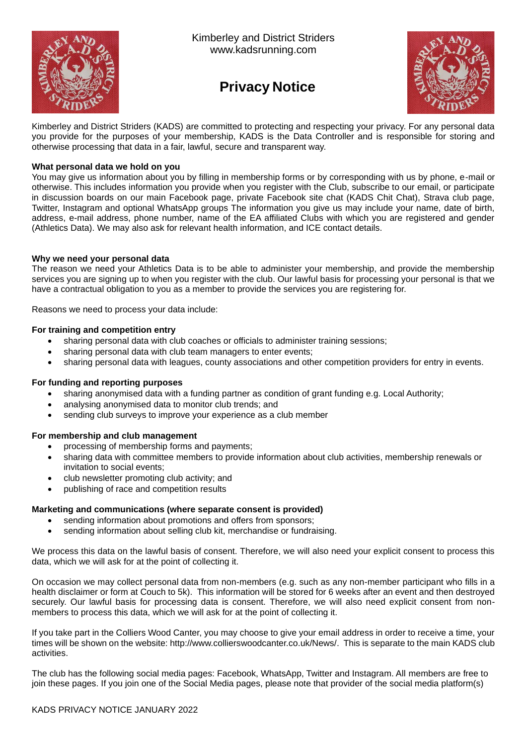

Kimberley and District Striders www.kadsrunning.com

# **Privacy Notice**



Kimberley and District Striders (KADS) are committed to protecting and respecting your privacy. For any personal data you provide for the purposes of your membership, KADS is the Data Controller and is responsible for storing and otherwise processing that data in a fair, lawful, secure and transparent way.

## **What personal data we hold on you**

You may give us information about you by filling in membership forms or by corresponding with us by phone, e-mail or otherwise. This includes information you provide when you register with the Club, subscribe to our email, or participate in discussion boards on our main Facebook page, private Facebook site chat (KADS Chit Chat), Strava club page, Twitter, Instagram and optional WhatsApp groups The information you give us may include your name, date of birth, address, e-mail address, phone number, name of the EA affiliated Clubs with which you are registered and gender (Athletics Data). We may also ask for relevant health information, and ICE contact details.

## **Why we need your personal data**

The reason we need your Athletics Data is to be able to administer your membership, and provide the membership services you are signing up to when you register with the club. Our lawful basis for processing your personal is that we have a contractual obligation to you as a member to provide the services you are registering for.

Reasons we need to process your data include:

## **For training and competition entry**

- sharing personal data with club coaches or officials to administer training sessions;
- sharing personal data with club team managers to enter events;
- sharing personal data with leagues, county associations and other competition providers for entry in events.

# **For funding and reporting purposes**

- sharing anonymised data with a funding partner as condition of grant funding e.g. Local Authority;
- analysing anonymised data to monitor club trends; and
- sending club surveys to improve your experience as a club member

## **For membership and club management**

- processing of membership forms and payments;
- sharing data with committee members to provide information about club activities, membership renewals or invitation to social events;
- club newsletter promoting club activity; and
- publishing of race and competition results

# **Marketing and communications (where separate consent is provided)**

- sending information about promotions and offers from sponsors;
- sending information about selling club kit, merchandise or fundraising.

We process this data on the lawful basis of consent. Therefore, we will also need your explicit consent to process this data, which we will ask for at the point of collecting it.

On occasion we may collect personal data from non-members (e.g. such as any non-member participant who fills in a health disclaimer or form at Couch to 5k). This information will be stored for 6 weeks after an event and then destroyed securely. Our lawful basis for processing data is consent. Therefore, we will also need explicit consent from nonmembers to process this data, which we will ask for at the point of collecting it.

If you take part in the Colliers Wood Canter, you may choose to give your email address in order to receive a time, your times will be shown on the website: [http://www.collierswoodcanter.co.uk/News/.](http://www.collierswoodcanter.co.uk/News/) This is separate to the main KADS club activities.

The club has the following social media pages: Facebook, WhatsApp, Twitter and Instagram. All members are free to join these pages. If you join one of the Social Media pages, please note that provider of the social media platform(s)